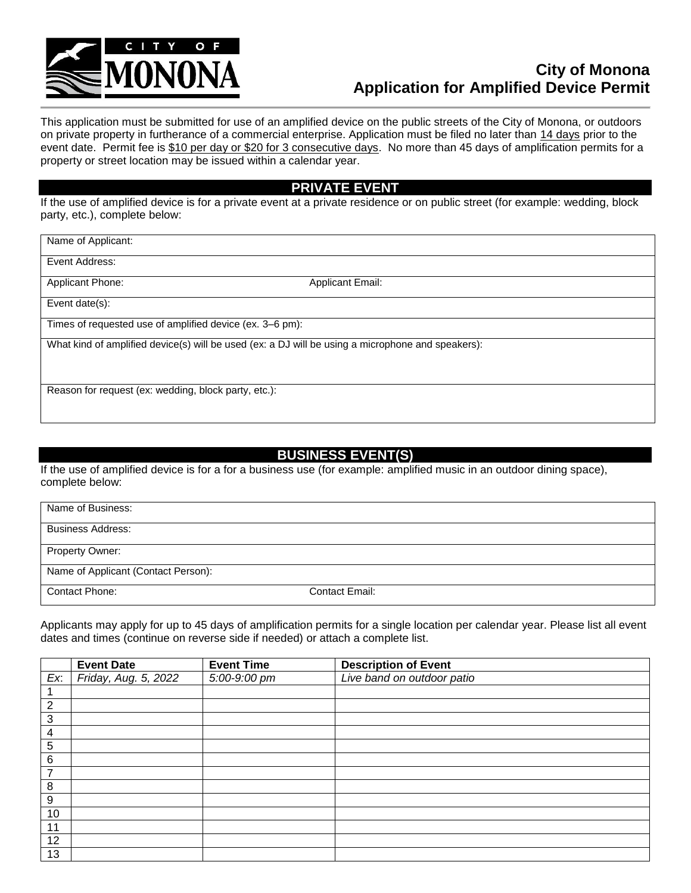

## **City of Monona Application for Amplified Device Permit**

This application must be submitted for use of an amplified device on the public streets of the City of Monona, or outdoors on private property in furtherance of a commercial enterprise. Application must be filed no later than 14 days prior to the event date. Permit fee is \$10 per day or \$20 for 3 consecutive days. No more than 45 days of amplification permits for a property or street location may be issued within a calendar year.

## **PRIVATE EVENT**

If the use of amplified device is for a private event at a private residence or on public street (for example: wedding, block party, etc.), complete below:

Name of Applicant:

Event Address:

Applicant Phone: Applicant Email:

Event date(s):

Times of requested use of amplified device (ex. 3–6 pm):

What kind of amplified device(s) will be used (ex: a DJ will be using a microphone and speakers):

Reason for request (ex: wedding, block party, etc.):

## **BUSINESS EVENT(S)**

If the use of amplified device is for a for a business use (for example: amplified music in an outdoor dining space), complete below:

| Name of Business:                   |                |  |  |  |  |  |
|-------------------------------------|----------------|--|--|--|--|--|
| <b>Business Address:</b>            |                |  |  |  |  |  |
| Property Owner:                     |                |  |  |  |  |  |
| Name of Applicant (Contact Person): |                |  |  |  |  |  |
| Contact Phone:                      | Contact Email: |  |  |  |  |  |

Applicants may apply for up to 45 days of amplification permits for a single location per calendar year. Please list all event dates and times (continue on reverse side if needed) or attach a complete list.

|                  | <b>Event Date</b>    | <b>Event Time</b> | <b>Description of Event</b> |
|------------------|----------------------|-------------------|-----------------------------|
| Ex:              | Friday, Aug. 5, 2022 | 5:00-9:00 pm      | Live band on outdoor patio  |
|                  |                      |                   |                             |
| $\overline{2}$   |                      |                   |                             |
| 3                |                      |                   |                             |
| 4                |                      |                   |                             |
| $\sqrt{5}$       |                      |                   |                             |
| $\,6\,$          |                      |                   |                             |
| 7                |                      |                   |                             |
| 8                |                      |                   |                             |
| $\boldsymbol{9}$ |                      |                   |                             |
| 10               |                      |                   |                             |
| 11               |                      |                   |                             |
| 12               |                      |                   |                             |
| 13               |                      |                   |                             |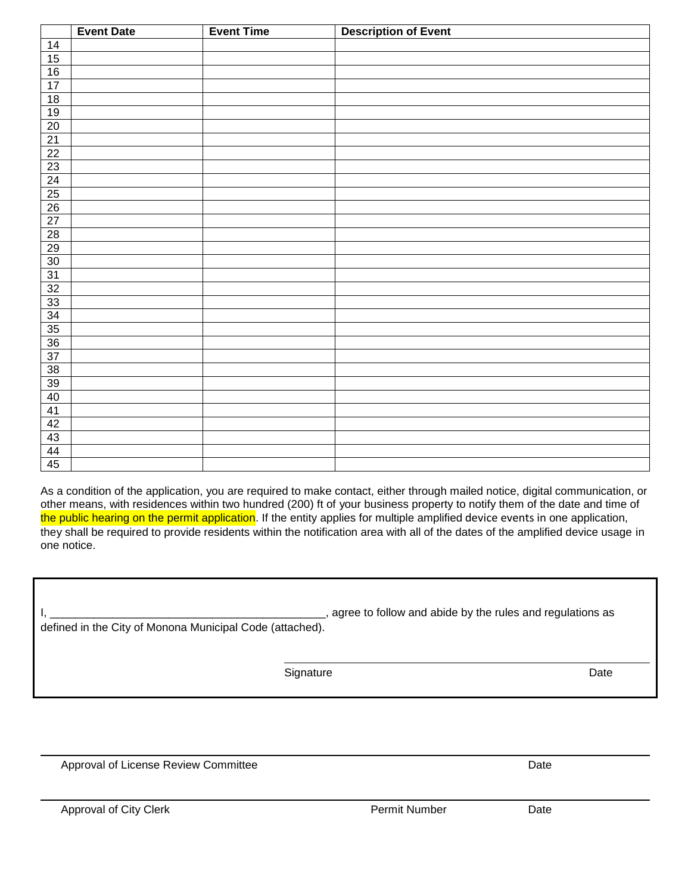|                                    | <b>Event Date</b> | <b>Event Time</b> | <b>Description of Event</b> |
|------------------------------------|-------------------|-------------------|-----------------------------|
| 14                                 |                   |                   |                             |
| 15                                 |                   |                   |                             |
| 16                                 |                   |                   |                             |
| 17                                 |                   |                   |                             |
| 18                                 |                   |                   |                             |
| 19                                 |                   |                   |                             |
|                                    |                   |                   |                             |
| $\frac{20}{21}$                    |                   |                   |                             |
| $\frac{22}{23}$<br>$\frac{23}{24}$ |                   |                   |                             |
|                                    |                   |                   |                             |
|                                    |                   |                   |                             |
|                                    |                   |                   |                             |
| 26                                 |                   |                   |                             |
| 27                                 |                   |                   |                             |
| $\overline{28}$                    |                   |                   |                             |
| 29                                 |                   |                   |                             |
| 30                                 |                   |                   |                             |
| 31                                 |                   |                   |                             |
| 32                                 |                   |                   |                             |
| 33                                 |                   |                   |                             |
| $\frac{34}{35}$                    |                   |                   |                             |
|                                    |                   |                   |                             |
| 36                                 |                   |                   |                             |
| 37                                 |                   |                   |                             |
| 38                                 |                   |                   |                             |
| 39                                 |                   |                   |                             |
| 40                                 |                   |                   |                             |
| 41                                 |                   |                   |                             |
| 42                                 |                   |                   |                             |
| 43                                 |                   |                   |                             |
| 44                                 |                   |                   |                             |
| 45                                 |                   |                   |                             |

As a condition of the application, you are required to make contact, either through mailed notice, digital communication, or other means, with residences within two hundred (200) ft of your business property to notify them of the date and time of the public hearing on the permit application. If the entity applies for multiple amplified device events in one application, they shall be required to provide residents within the notification area with all of the dates of the amplified device usage in one notice.

|                                                          | agree to follow and abide by the rules and regulations as |  |  |  |  |  |
|----------------------------------------------------------|-----------------------------------------------------------|--|--|--|--|--|
| defined in the City of Monona Municipal Code (attached). |                                                           |  |  |  |  |  |
|                                                          |                                                           |  |  |  |  |  |
| Signature                                                | Date                                                      |  |  |  |  |  |

Approval of License Review Committee **Date** Date Date